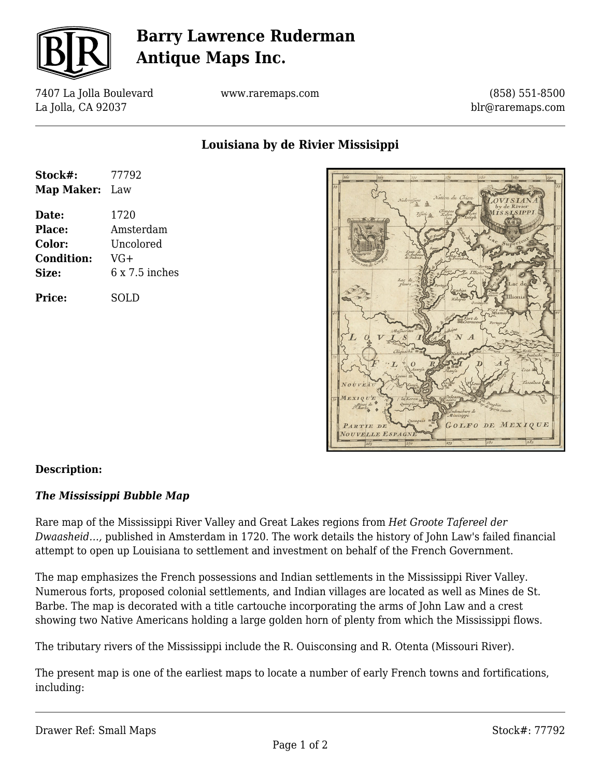

# **Barry Lawrence Ruderman Antique Maps Inc.**

7407 La Jolla Boulevard La Jolla, CA 92037

www.raremaps.com

(858) 551-8500 blr@raremaps.com

**Louisiana by de Rivier Missisippi**

| Stock#:           | 77792          |
|-------------------|----------------|
| <b>Map Maker:</b> | Law            |
| Date:             | 1720           |
| Place:            | Amsterdam      |
| Color:            | Uncolored      |
| <b>Condition:</b> | VG+            |
| Size:             | $6x7.5$ inches |
| Price:            | SOLD           |



#### **Description:**

#### *The Mississippi Bubble Map*

Rare map of the Mississippi River Valley and Great Lakes regions from *Het Groote Tafereel der Dwaasheid…,* published in Amsterdam in 1720. The work details the history of John Law's failed financial attempt to open up Louisiana to settlement and investment on behalf of the French Government.

The map emphasizes the French possessions and Indian settlements in the Mississippi River Valley. Numerous forts, proposed colonial settlements, and Indian villages are located as well as Mines de St. Barbe. The map is decorated with a title cartouche incorporating the arms of John Law and a crest showing two Native Americans holding a large golden horn of plenty from which the Mississippi flows.

The tributary rivers of the Mississippi include the R. Ouisconsing and R. Otenta (Missouri River).

The present map is one of the earliest maps to locate a number of early French towns and fortifications, including: